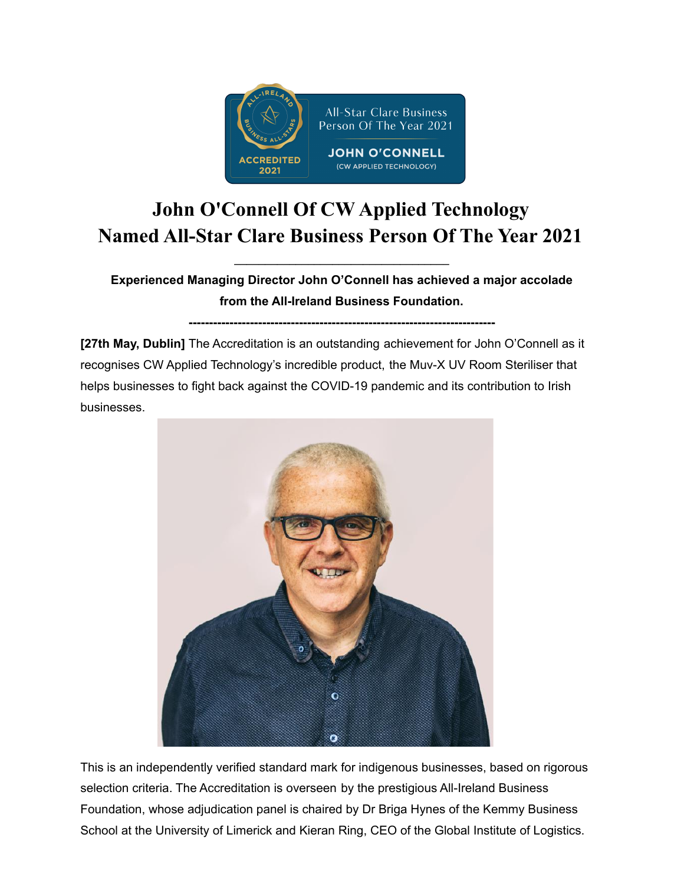

## **John O'Connell Of CW Applied Technology Named All-Star Clare Business Person Of The Year 2021**

**Experienced Managing Director John O'Connell has achieved a major accolade from the All-Ireland Business Foundation.**

**\_\_\_\_\_\_\_\_\_\_\_\_\_\_\_\_\_\_\_\_\_\_\_\_\_\_\_\_\_\_\_\_\_\_\_**

**---------------------------------------------------------------------------**

**[27th May, Dublin]** The Accreditation is an outstanding achievement for John O'Connell as it recognises CW Applied Technology's incredible product, the Muv-X UV Room Steriliser that helps businesses to fight back against the COVID-19 pandemic and its contribution to Irish businesses.



This is an independently verified standard mark for indigenous businesses, based on rigorous selection criteria. The Accreditation is overseen by the prestigious All-Ireland Business Foundation, whose adjudication panel is chaired by Dr Briga Hynes of the Kemmy Business School at the University of Limerick and Kieran Ring, CEO of the Global Institute of Logistics.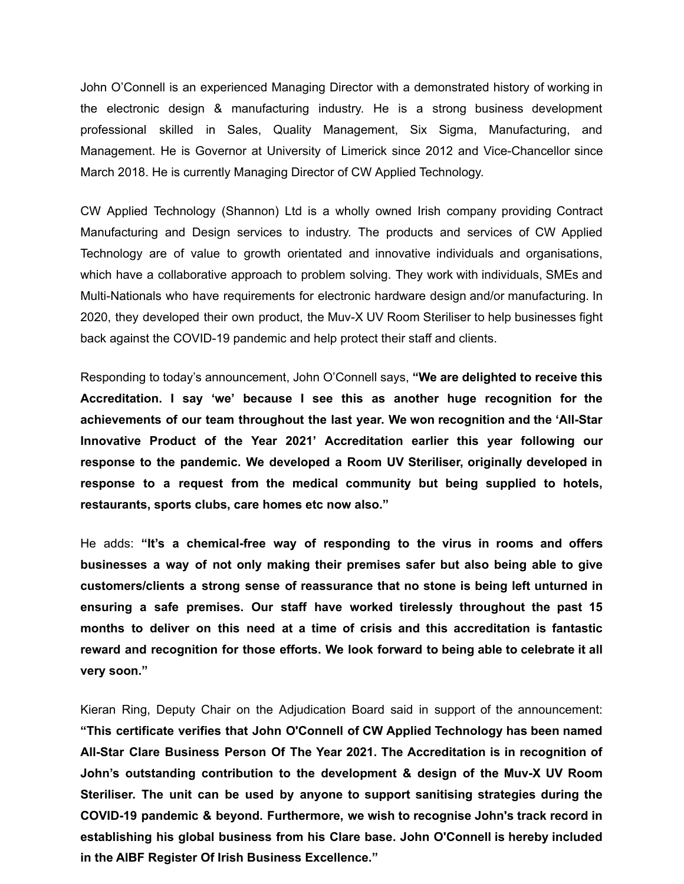John O'Connell is an experienced Managing Director with a demonstrated history of working in the electronic design & manufacturing industry. He is a strong business development professional skilled in Sales, Quality Management, Six Sigma, Manufacturing, and Management. He is Governor at University of Limerick since 2012 and Vice-Chancellor since March 2018. He is currently Managing Director of CW Applied Technology.

CW Applied Technology (Shannon) Ltd is a wholly owned Irish company providing Contract Manufacturing and Design services to industry. The products and services of CW Applied Technology are of value to growth orientated and innovative individuals and organisations, which have a collaborative approach to problem solving. They work with individuals, SMEs and Multi-Nationals who have requirements for electronic hardware design and/or manufacturing. In 2020, they developed their own product, the Muv-X UV Room Steriliser to help businesses fight back against the COVID-19 pandemic and help protect their staff and clients.

Responding to today's announcement, John O'Connell says, **"We are delighted to receive this Accreditation. I say 'we' because I see this as another huge recognition for the achievements of our team throughout the last year. We won recognition and the 'All-Star Innovative Product of the Year 2021' Accreditation earlier this year following our response to the pandemic. We developed a Room UV Steriliser, originally developed in response to a request from the medical community but being supplied to hotels, restaurants, sports clubs, care homes etc now also."**

He adds: **"It's a chemical-free way of responding to the virus in rooms and offers businesses a way of not only making their premises safer but also being able to give customers/clients a strong sense of reassurance that no stone is being left unturned in ensuring a safe premises. Our staff have worked tirelessly throughout the past 15 months to deliver on this need at a time of crisis and this accreditation is fantastic reward and recognition for those efforts. We look forward to being able to celebrate it all very soon."**

Kieran Ring, Deputy Chair on the Adjudication Board said in support of the announcement: **"This certificate verifies that John O'Connell of CW Applied Technology has been named All-Star Clare Business Person Of The Year 2021. The Accreditation is in recognition of John's outstanding contribution to the development & design of the Muv-X UV Room Steriliser. The unit can be used by anyone to support sanitising strategies during the COVID-19 pandemic & beyond. Furthermore, we wish to recognise John's track record in establishing his global business from his Clare base. John O'Connell is hereby included in the AIBF Register Of Irish Business Excellence."**